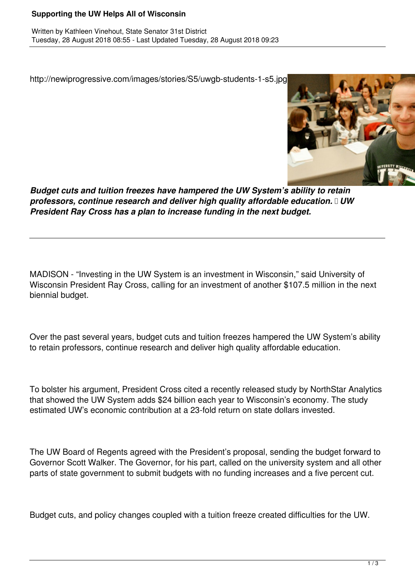## **Supporting the UW Helps All of Wisconsin**

http://newiprogressive.com/images/stories/S5/uwgb-students-1-s5.jpg



*Budget cuts and tuition freezes have hampered the UW System's ability to retain professors, continue research and deliver high quality affordable education. UW President Ray Cross has a plan to increase funding in the next budget.*

MADISON - "Investing in the UW System is an investment in Wisconsin," said University of Wisconsin President Ray Cross, calling for an investment of another \$107.5 million in the next biennial budget.

Over the past several years, budget cuts and tuition freezes hampered the UW System's ability to retain professors, continue research and deliver high quality affordable education.

To bolster his argument, President Cross cited a recently released study by NorthStar Analytics that showed the UW System adds \$24 billion each year to Wisconsin's economy. The study estimated UW's economic contribution at a 23-fold return on state dollars invested.

The UW Board of Regents agreed with the President's proposal, sending the budget forward to Governor Scott Walker. The Governor, for his part, called on the university system and all other parts of state government to submit budgets with no funding increases and a five percent cut.

Budget cuts, and policy changes coupled with a tuition freeze created difficulties for the UW.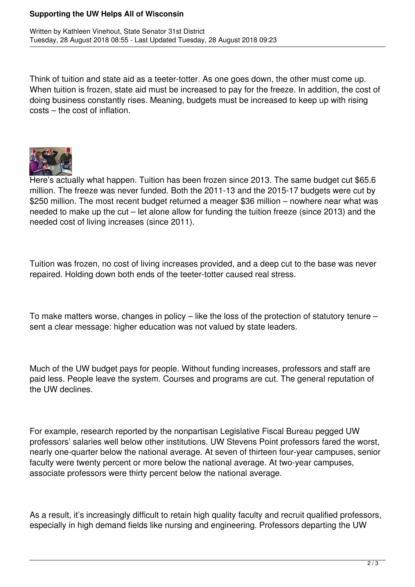## **Supporting the UW Helps All of Wisconsin**

Think of tuition and state aid as a teeter-totter. As one goes down, the other must come up. When tuition is frozen, state aid must be increased to pay for the freeze. In addition, the cost of doing business constantly rises. Meaning, budgets must be increased to keep up with rising costs – the cost of inflation.



Here's actually what happen. Tuition has been frozen since 2013. The same budget cut \$65.6 million. The freeze was never funded. Both the 2011-13 and the 2015-17 budgets were cut by \$250 million. The most recent budget returned a meager \$36 million – nowhere near what was needed to make up the cut – let alone allow for funding the tuition freeze (since 2013) and the needed cost of living increases (since 2011).

Tuition was frozen, no cost of living increases provided, and a deep cut to the base was never repaired. Holding down both ends of the teeter-totter caused real stress.

To make matters worse, changes in policy – like the loss of the protection of statutory tenure – sent a clear message: higher education was not valued by state leaders.

Much of the UW budget pays for people. Without funding increases, professors and staff are paid less. People leave the system. Courses and programs are cut. The general reputation of the UW declines.

For example, research reported by the nonpartisan Legislative Fiscal Bureau pegged UW professors' salaries well below other institutions. UW Stevens Point professors fared the worst, nearly one-quarter below the national average. At seven of thirteen four-year campuses, senior faculty were twenty percent or more below the national average. At two-year campuses, associate professors were thirty percent below the national average.

As a result, it's increasingly difficult to retain high quality faculty and recruit qualified professors, especially in high demand fields like nursing and engineering. Professors departing the UW